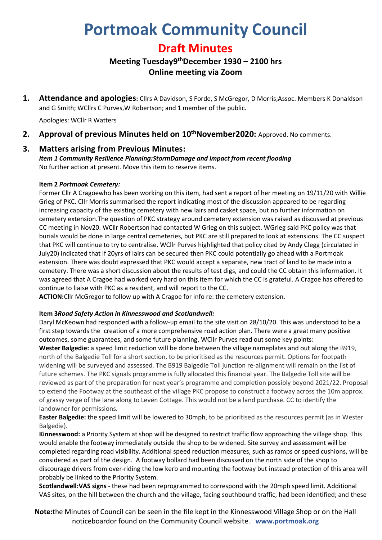# **Portmoak Community Council**

## **Draft Minutes**

## **Meeting Tuesday9 thDecember 1930 – 2100 hrs Online meeting via Zoom**

**1. Attendance and apologies:** Cllrs A Davidson, S Forde, S McGregor, D Morris;Assoc. Members K Donaldson and G Smith; WCllrs C Purves,W Robertson; and 1 member of the public.

Apologies: WCllr R Watters

**2. Approval of previous Minutes held on 10 thNovember2020:** Approved. No comments.

#### **3. Matters arising from Previous Minutes:**

*Item 1 Community Resilience Planning:StormDamage and impact from recent flooding* No further action at present. Move this item to reserve items.

#### **Item 2** *Portmoak Cemetery:*

Former Cllr A Cragoewho has been working on this item, had sent a report of her meeting on 19/11/20 with Willie Grieg of PKC. Cllr Morris summarised the report indicating most of the discussion appeared to be regarding increasing capacity of the existing cemetery with new lairs and casket space, but no further information on cemetery extension.The question of PKC strategy around cemetery extension was raised as discussed at previous CC meeting in Nov20. WCllr Robertson had contacted W Grieg on this subject. WGrieg said PKC policy was that burials would be done in large central cemeteries, but PKC are still prepared to look at extensions. The CC suspect that PKC will continue to try to centralise. WCllr Purves highlighted that policy cited by Andy Clegg (circulated in July20) indicated that if 20yrs of lairs can be secured then PKC could potentially go ahead with a Portmoak extension. There was doubt expressed that PKC would accept a separate, new tract of land to be made into a cemetery. There was a short discussion about the results of test digs, and could the CC obtain this information. It was agreed that A Cragoe had worked very hard on this item for which the CC is grateful. A Cragoe has offered to continue to liaise with PKC as a resident, and will report to the CC.

**ACTION:**Cllr McGregor to follow up with A Cragoe for info re: the cemetery extension.

#### **Item 3***Road Safety Action in Kinnesswood and Scotlandwell:*

Daryl McKeown had responded with a follow-up email to the site visit on 28/10/20. This was understood to be a first step towards the creation of a more comprehensive road action plan. There were a great many positive outcomes, some guarantees, and some future planning. WCllr Purves read out some key points:

**Wester Balgedie:** a speed limit reduction will be done between the village nameplates and out along the B919, north of the Balgedie Toll for a short section, to be prioritised as the resources permit. Options for footpath widening will be surveyed and assessed. The B919 Balgedie Toll junction re-alignment will remain on the list of future schemes. The PKC signals programme is fully allocated this financial year. The Balgedie Toll site will be reviewed as part of the preparation for next year's programme and completion possibly beyond 2021/22. Proposal to extend the Footway at the southeast of the village PKC propose to construct a footway across the 10m approx. of grassy verge of the lane along to Leven Cottage. This would not be a land purchase. CC to identify the landowner for permissions.

**Easter Balgedie:** the speed limit will be lowered to 30mph, to be prioritised as the resources permit (as in Wester Balgedie).

**Kinnesswood:** a Priority System at shop will be designed to restrict traffic flow approaching the village shop. This would enable the footway immediately outside the shop to be widened. Site survey and assessment will be completed regarding road visibility. Additional speed reduction measures, such as ramps or speed cushions, will be considered as part of the design. A footway bollard had been discussed on the north side of the shop to discourage drivers from over-riding the low kerb and mounting the footway but instead protection of this area will probably be linked to the Priority System.

**Scotlandwell:VAS signs** - these had been reprogrammed to correspond with the 20mph speed limit. Additional VAS sites, on the hill between the church and the village, facing southbound traffic, had been identified; and these

**Note:**the Minutes of Council can be seen in the file kept in the Kinnesswood Village Shop or on the Hall noticeboardor found on the Community Council website. **www.portmoak.org**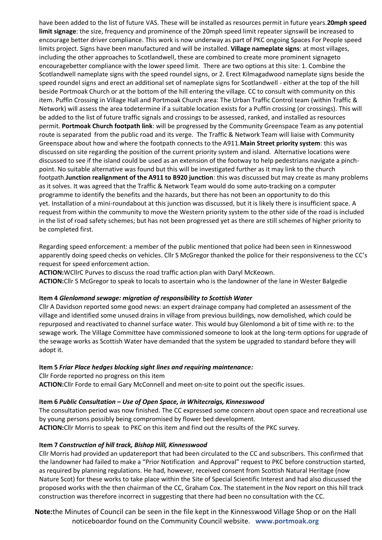have been added to the list of future VAS. These will be installed as resources permit in future years.**20mph speed limit signage**: the size, frequency and prominence of the 20mph speed limit repeater signswill be increased to encourage better driver compliance. This work is now underway as part of PKC ongoing Spaces For People speed limits project. Signs have been manufactured and will be installed. **Village nameplate signs**: at most villages, including the other approaches to Scotlandwell, these are combined to create more prominent signageto encouragebetter compliance with the lower speed limit. There are two options at this site: 1. Combine the Scotlandwell nameplate signs with the speed roundel signs, or 2. Erect Kilmagadwood nameplate signs beside the speed roundel signs and erect an additional set of nameplate signs for Scotlandwell - either at the top of the hill beside Portmoak Church or at the bottom of the hill entering the village. CC to consult with community on this item. Puffin Crossing in Village Hall and Portmoak Church area: The Urban Traffic Control team (within Traffic & Network) will assess the area todetermine if a suitable location exists for a Puffin crossing (or crossings). This will be added to the list of future traffic signals and crossings to be assessed, ranked, and installed as resources permit. **Portmoak Church footpath link**: will be progressed by the Community Greenspace Team as any potential route is separated from the public road and its verge. The Traffic & Network Team will liaise with Community Greenspace about how and where the footpath connects to the A911.**Main Street priority system**: this was discussed on site regarding the position of the current priority system and island. Alternative locations were discussed to see if the island could be used as an extension of the footway to help pedestrians navigate a pinchpoint. No suitable alternative was found but this will be investigated further as it may link to the church footpath.**Junction realignment of the A911 to B920 junction**: this was discussed but may create as many problems as it solves. It was agreed that the Traffic & Network Team would do some auto-tracking on a computer programme to identify the benefits and the hazards, but there has not been an opportunity to do this yet. Installation of a mini-roundabout at this junction was discussed, but it is likely there is insufficient space. A request from within the community to move the Western priority system to the other side of the road is included in the list of road safety schemes; but has not been progressed yet as there are still schemes of higher priority to be completed first.

Regarding speed enforcement: a member of the public mentioned that police had been seen in Kinnesswood apparently doing speed checks on vehicles. Cllr S McGregor thanked the police for their responsiveness to the CC's request for speed enforcement action.

**ACTION:**WCllrC Purves to discuss the road traffic action plan with Daryl McKeown. **ACTION:**Cllr S McGregor to speak to locals to ascertain who is the landowner of the lane in Wester Balgedie

#### **Item 4** *Glenlomond sewage: migration of responsibility to Scottish Water*

Cllr A Davidson reported some good news: an expert drainage company had completed an assessment of the village and identified some unused drains in village from previous buildings, now demolished, which could be repurposed and reactivated to channel surface water. This would buy Glenlomond a bit of time with re: to the sewage work. The Village Committee have commissioned someone to look at the long-term options for upgrade of the sewage works as Scottish Water have demanded that the system be upgraded to standard before they will adopt it.

#### **Item 5** *Friar Place hedges blocking sight lines and requiring maintenance:*

Cllr Forde reported no progress on this item **ACTION:**Cllr Forde to email Gary McConnell and meet on-site to point out the specific issues.

#### **Item 6** *Public Consultation – Use of Open Space, in Whitecraigs, Kinnesswood*

The consultation period was now finished. The CC expressed some concern about open space and recreational use by young persons possibly being compromised by flower bed development. **ACTION:**Cllr Morris to speak to PKC on this item and find out the results of the PKC survey.

#### **Item 7** *Construction of hill track, Bishop Hill, Kinnesswood*

Cllr Morris had provided an updatereport that had been circulated to the CC and subscribers. This confirmed that the landowner had failed to make a "Prior Notification and Approval" request to PKC before construction started, as required by planning regulations. He had, however, received consent from Scottish Natural Heritage (now Nature Scot) for these works to take place within the Site of Special Scientific Interest and had also discussed the proposed works with the then chairman of the CC, Graham Cox. The statement in the Nov report on this hill track construction was therefore incorrect in suggesting that there had been no consultation with the CC.

**Note:**the Minutes of Council can be seen in the file kept in the Kinnesswood Village Shop or on the Hall noticeboardor found on the Community Council website. **www.portmoak.org**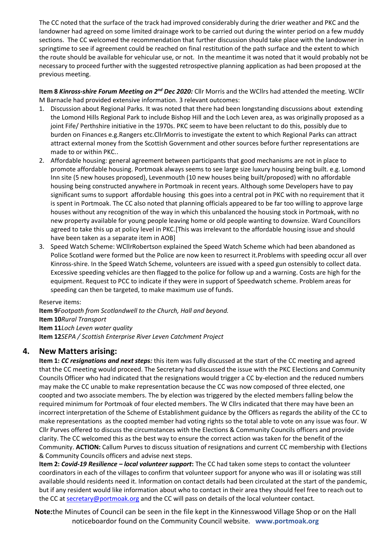The CC noted that the surface of the track had improved considerably during the drier weather and PKC and the landowner had agreed on some limited drainage work to be carried out during the winter period on a few muddy sections. The CC welcomed the recommendation that further discussion should take place with the landowner in springtime to see if agreement could be reached on final restitution of the path surface and the extent to which the route should be available for vehicular use, or not. In the meantime it was noted that it would probably not be necessary to proceed further with the suggested retrospective planning application as had been proposed at the previous meeting.

**Item 8** *Kinross-shire Forum Meeting on 2nd Dec 2020:* Cllr Morris and the WCllrs had attended the meeting. WCllr M Barnacle had provided extensive information. 3 relevant outcomes:

- 1. Discussion about Regional Parks. It was noted that there had been longstanding discussions about extending the Lomond Hills Regional Park to include Bishop Hill and the Loch Leven area, as was originally proposed as a joint Fife/ Perthshire initiative in the 1970s. PKC seem to have been reluctant to do this, possibly due to burden on Finances e.g.Rangers etc.CllrMorris to investigate the extent to which Regional Parks can attract attract external money from the Scottish Government and other sources before further representations are made to or within PKC..
- 2. Affordable housing: general agreement between participants that good mechanisms are not in place to promote affordable housing. Portmoak always seems to see large size luxury housing being built. e.g. Lomond Inn site (5 new houses proposed), Levenmouth (10 new houses being built/proposed) with no affordable housing being constructed anywhere in Portmoak in recent years. Although some Developers have to pay significant sums to support affordable housing this goes into a central pot in PKC with no requirement that it is spent in Portmoak. The CC also noted that planning officials appeared to be far too willing to approve large houses without any recognition of the way in which this unbalanced the housing stock in Portmoak, with no new property available for young people leaving home or old people wanting to downsize. Ward Councillors agreed to take this up at policy level in PKC.[This was irrelevant to the affordable housing issue and should have been taken as a separate item in AOB]
- 3. Speed Watch Scheme: WCllrRobertson explained the Speed Watch Scheme which had been abandoned as Police Scotland were formed but the Police are now keen to resurrect it.Problems with speeding occur all over Kinross-shire. In the Speed Watch Scheme, volunteers are issued with a speed gun ostensibly to collect data. Excessive speeding vehicles are then flagged to the police for follow up and a warning. Costs are high for the equipment. Request to PCC to indicate if they were in support of Speedwatch scheme. Problem areas for speeding can then be targeted, to make maximum use of funds.

#### Reserve items:

**Item 9***Footpath from Scotlandwell to the Church, Hall and beyond.* **Item 10***Rural Transport* **Item 11***Loch Leven water quality* **Item 12***SEPA / Scottish Enterprise River Leven Catchment Project*

#### **4. New Matters arising:**

**Item 1:** *CC resignations and next steps:* this item was fully discussed at the start of the CC meeting and agreed that the CC meeting would proceed. The Secretary had discussed the issue with the PKC Elections and Community Councils Officer who had indicated that the resignations would trigger a CC by-election and the reduced numbers may make the CC unable to make representation because the CC was now composed of three elected, one coopted and two associate members. The by election was triggered by the elected members falling below the required minimum for Portmoak of four elected members. The W Cllrs indicated that there may have been an incorrect interpretation of the Scheme of Establishment guidance by the Officers as regards the ability of the CC to make representations as the coopted member had voting rights so the total able to vote on any issue was four. W Cllr Purves offered to discuss the circumstances with the Elections & Community Councils officers and provide clarity. The CC welcomed this as the best way to ensure the correct action was taken for the benefit of the Community. **ACTION:** Callum Purves to discuss situation of resignations and current CC membership with Elections & Community Councils officers and advise next steps.

**Item 2:** *Covid-19 Resilience – local volunteer support***:** The CC had taken some steps to contact the volunteer coordinators in each of the villages to confirm that volunteer support for anyone who was ill or isolating was still available should residents need it. Information on contact details had been circulated at the start of the pandemic, but if any resident would like information about who to contact in their area they should feel free to reach out to the CC at [secretary@portmoak.org](mailto:secretary@portmoak.org) and the CC will pass on details of the local volunteer contact.

**Note:**the Minutes of Council can be seen in the file kept in the Kinnesswood Village Shop or on the Hall noticeboardor found on the Community Council website. **www.portmoak.org**